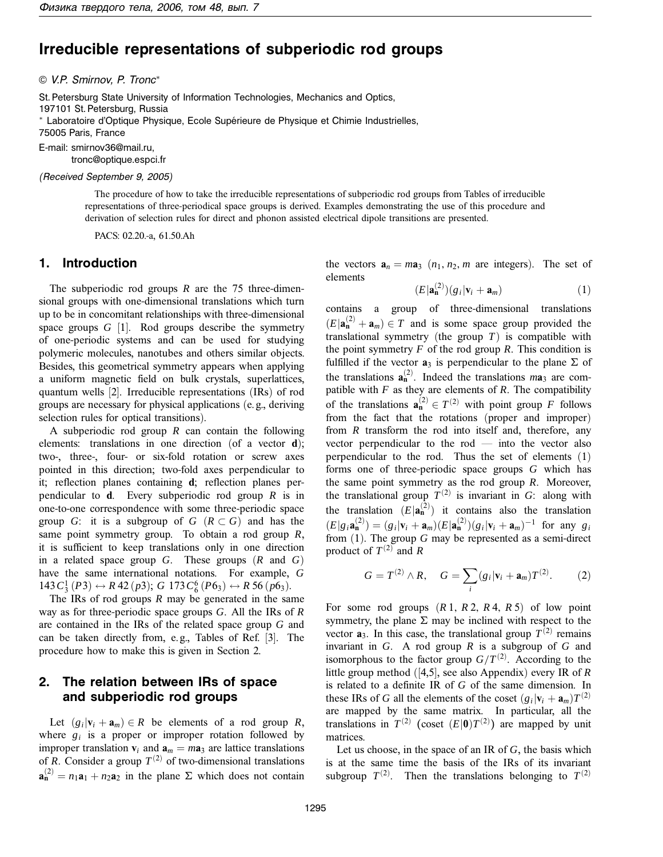# **Irreducible representations of subperiodic rod groups**

© V.P. Smirnov, P. Tronc<sup>∗</sup>

St. Petersburg State University of Information Technologies, Mechanics and Optics, 197101 St. Petersburg, Russia \* Laboratoire d'Optique Physique, Ecole Supérieure de Physique et Chimie Industrielles, 75005 Paris, France

E-mail: smirnov36@mail.ru,

tronc@optique.espci.fr

(Received September 9, 2005)

The procedure of how to take the irreducible representations of subperiodic rod groups from Tables of irreducible representations of three-periodical space groups is derived. Examples demonstrating the use of this procedure and derivation of selection rules for direct and phonon assisted electrical dipole transitions are presented.

PACS: 02.20.-a, 61.50.Ah

### **1. Introduction**

The subperiodic rod groups *R* are the 75 three-dimensional groups with one-dimensional translations which turn up to be in concomitant relationships with three-dimensional space groups *G* [1]. Rod groups describe the symmetry of one-periodic systems and can be used for studying polymeric molecules, nanotubes and others similar objects. Besides, this geometrical symmetry appears when applying a uniform magnetic field on bulk crystals, superlattices, quantum wells [2]. Irreducible representations (IRs) of rod groups are necessary for physical applications (e. g., deriving selection rules for optical transitions).

A subperiodic rod group *R* can contain the following elements: translations in one direction (of a vector **d**); two-, three-, four- or six-fold rotation or screw axes pointed in this direction; two-fold axes perpendicular to it; reflection planes containing **d**; reflection planes perpendicular to **d**. Every subperiodic rod group *R* is in one-to-one correspondence with some three-periodic space group *G*: it is a subgroup of  $G$  ( $R \subset G$ ) and has the same point symmetry group. To obtain a rod group *R*, it is sufficient to keep translations only in one direction in a related space group *G*. These groups (*R* and *G*) have the same international notations. For example, *G*  $143 C_3^1 (P3) \leftrightarrow R42 (p3); G 173 C_6^6 (P6_3) \leftrightarrow R56 (p6_3).$ 

The IRs of rod groups *R* may be generated in the same way as for three-periodic space groups *G*. All the IRs of *R* are contained in the IRs of the related space group *G* and can be taken directly from, e. g., Tables of Ref. [3]. The procedure how to make this is given in Section 2.

# **2. The relation between IRs of space and subperiodic rod groups**

Let  $(g_i|\mathbf{v}_i + \mathbf{a}_m) \in R$  be elements of a rod group R, where  $g_i$  is a proper or improper rotation followed by improper translation  $\mathbf{v}_i$  and  $\mathbf{a}_m = m\mathbf{a}_3$  are lattice translations of *R*. Consider a group  $T^{(2)}$  of two-dimensional translations  $\mathbf{a}_{n}^{(2)} = n_1 \mathbf{a}_1 + n_2 \mathbf{a}_2$  in the plane  $\Sigma$  which does not contain

the vectors  $\mathbf{a}_n = m\mathbf{a}_3$  ( $n_1, n_2, m$  are integers). The set of elements

$$
(E|\mathbf{a}_{\mathbf{n}}^{(2)})(g_i|\mathbf{v}_i+\mathbf{a}_m) \tag{1}
$$

contains a group of three-dimensional translations  $(E|\mathbf{a}_{n}^{(2)} + \mathbf{a}_{m}) \in T$  and is some space group provided the translational symmetry (the group *T*) is compatible with the point symmetry  $F$  of the rod group  $R$ . This condition is fulfilled if the vector  $a_3$  is perpendicular to the plane  $\Sigma$  of the translations  $\mathbf{a}_{n}^{(2)}$ . Indeed the translations  $m\mathbf{a}_{3}$  are compatible with  $F$  as they are elements of  $R$ . The compatibility of the translations  $\mathbf{a}_{n}^{(2)} \in T^{(2)}$  with point group *F* follows from the fact that the rotations (proper and improper) from *R* transform the rod into itself and, therefore, any vector perpendicular to the rod — into the vector also perpendicular to the rod. Thus the set of elements (1) forms one of three-periodic space groups *G* which has the same point symmetry as the rod group *R*. Moreover, the translational group  $T^{(2)}$  is invariant in *G*: along with the translation  $(E|\mathbf{a}_n^{(2)})$  it contains also the translation  $(E|g_i \mathbf{a}_n^{(2)}) = (g_i|\mathbf{v}_i + \mathbf{a}_m)(E|\mathbf{a}_n^{(2)})(g_i|\mathbf{v}_i + \mathbf{a}_m)^{-1}$  for any  $g_i$ from (1). The group *G* may be represented as a semi-direct product of  $T^{(2)}$  and *R* 

$$
G = T^{(2)} \wedge R, \quad G = \sum_{i} (g_i | \mathbf{v}_i + \mathbf{a}_m) T^{(2)}.
$$
 (2)

For some rod groups  $(R1, R2, R4, R5)$  of low point symmetry, the plane  $\Sigma$  may be inclined with respect to the vector  $\mathbf{a}_3$ . In this case, the translational group  $T^{(2)}$  remains invariant in *G*. A rod group *R* is a subgroup of *G* and isomorphous to the factor group  $G/T^{(2)}$ . According to the little group method ([4,5], see also Appendix) every IR of *R* is related to a definite IR of *G* of the same dimension. In these IRs of *G* all the elements of the coset  $(g_i|\mathbf{v}_i + \mathbf{a}_m)T^{(2)}$ are mapped by the same matrix. In particular, all the translations in  $T^{(2)}$  (coset  $(E|\mathbf{0})T^{(2)}$ ) are mapped by unit matrices.

Let us choose, in the space of an IR of *G*, the basis which is at the same time the basis of the IRs of its invariant subgroup  $T^{(2)}$ . Then the translations belonging to  $T^{(2)}$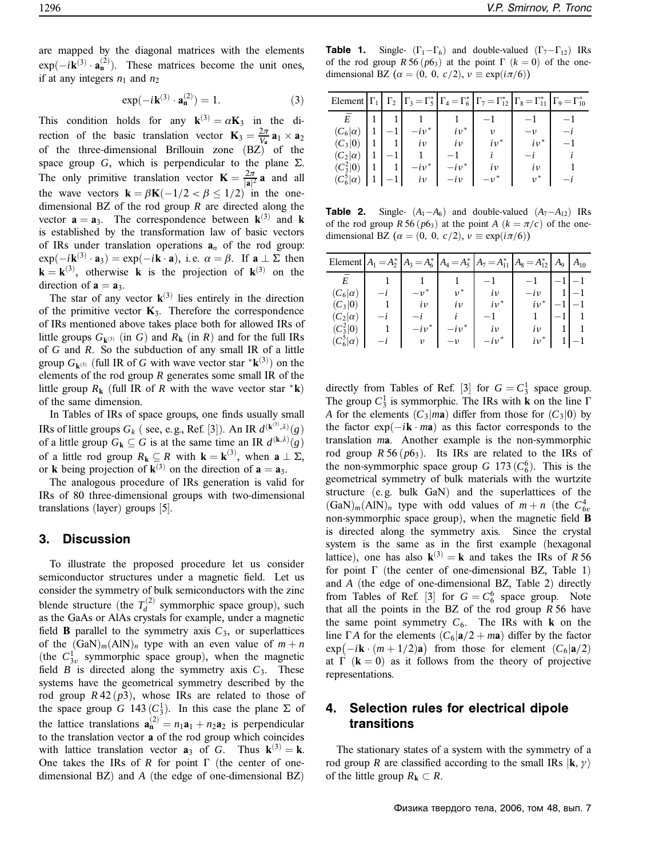are mapped by the diagonal matrices with the elements  $\exp(-i\mathbf{k}^{(3)} \cdot \mathbf{a}_{\mathbf{n}}^{(2)})$ . These matrices become the unit ones, if at any integers  $n_1$  and  $n_2$ 

$$
\exp(-i\mathbf{k}^{(3)} \cdot \mathbf{a}_{n}^{(2)}) = 1. \tag{3}
$$

This condition holds for any  $\mathbf{k}^{(3)} = \alpha \mathbf{K}_3$  in the direction of the basic translation vector  $\mathbf{K}_3 = \frac{2\pi}{V_a} \mathbf{a}_1 \times \mathbf{a}_2$ of the three-dimensional Brillouin zone (BZ) of the space group *G*, which is perpendicular to the plane  $\Sigma$ . The only primitive translation vector  $\mathbf{K} = \frac{2\pi}{|\mathbf{a}|^2} \mathbf{a}$  and all the wave vectors  $\mathbf{k} = \beta \mathbf{K}(-1/2 < \beta \le 1/2)$  in the onedimensional BZ of the rod group *R* are directed along the vector  $\mathbf{a} = \mathbf{a}_3$ . The correspondence between  $\mathbf{k}^{(3)}$  and  $\mathbf{k}$ is established by the transformation law of basic vectors of IRs under translation operations  $a_n$  of the rod group:  $\exp(-i\mathbf{k}^{(3)} \cdot \mathbf{a}_3) = \exp(-i\mathbf{k} \cdot \mathbf{a}), \text{ i.e. } \alpha = \beta. \text{ If } \mathbf{a} \perp \Sigma \text{ then}$  $\mathbf{k} = \mathbf{k}^{(3)}$ , otherwise **k** is the projection of  $\mathbf{k}^{(3)}$  on the direction of  $\mathbf{a} = \mathbf{a}_3$ .

The star of any vector  $\mathbf{k}^{(3)}$  lies entirely in the direction of the primitive vector  $\mathbf{K}_3$ . Therefore the correspondence of IRs mentioned above takes place both for allowed IRs of little groups  $G_{\mathbf{k}^{(3)}}$  (in *G*) and  $R_{\mathbf{k}}$  (in *R*) and for the full IRs of *G* and *R*. So the subduction of any small IR of a little group  $G_{\mathbf{k}^{(3)}}$  (full IR of *G* with wave vector star  $^* \mathbf{k}^{(3)}$ ) on the elements of the rod group *R* generates some small IR of the little group  $R_k$  (full IR of *R* with the wave vector star  $*{\bf k}$ ) of the same dimension.

In Tables of IRs of space groups, one finds usually small IRs of little groups  $G_k$  ( see, e.g., Ref. [3]). An IR  $d^{(\mathbf{k}^{(3)}, \lambda)}(g)$ of a little group  $G_k \subseteq G$  is at the same time an IR  $d^{(k,\lambda)}(g)$ of a little rod group  $R_k \subseteq R$  with  $k = k^{(3)}$ , when  $a \perp \Sigma$ , or **k** being projection of  $\mathbf{k}^{(3)}$  on the direction of  $\mathbf{a} = \mathbf{a}_3$ .

The analogous procedure of IRs generation is valid for IRs of 80 three-dimensional groups with two-dimensional translations (layer) groups [5].

## **3. Discussion**

To illustrate the proposed procedure let us consider semiconductor structures under a magnetic field. Let us consider the symmetry of bulk semiconductors with the zinc blende structure (the  $T_d^{(2)}$  symmorphic space group), such as the GaAs or AlAs crystals for example, under a magnetic field **B** parallel to the symmetry axis  $C_3$ , or superlattices of the  $(GaN)<sub>m</sub>(AlN)<sub>n</sub>$  type with an even value of  $m + n$ (the  $C_{3v}^1$  symmorphic space group), when the magnetic field  $B$  is directed along the symmetry axis  $C_3$ . These systems have the geometrical symmetry described by the rod group  $R$  42 ( $p$ 3), whose IRs are related to those of the space group *G* 143 ( $C_3^1$ ). In this case the plane  $\Sigma$  of the lattice translations  $\mathbf{a}_{n}^{(2)} = n_1 \mathbf{a}_1 + n_2 \mathbf{a}_2$  is perpendicular to the translation vector **a** of the rod group which coincides with lattice translation vector  $\mathbf{a}_3$  of *G*. Thus  $\mathbf{k}^{(3)} = \mathbf{k}$ . One takes the IRs of *R* for point  $\Gamma$  (the center of onedimensional BZ) and *A* (the edge of one-dimensional BZ)

**Table 1.** Single-  $(\Gamma_1 - \Gamma_6)$  and double-valued  $(\Gamma_7 - \Gamma_{12})$  IRs of the rod group  $R\ 56$  ( $p6_3$ ) at the point  $\Gamma$  ( $k = 0$ ) of the onedimensional BZ  $(\alpha = (0, 0, c/2), v \equiv \exp(i\pi/6))$ 

|                  |  |            |           | Element $\Gamma_1 \mid \Gamma_2 \mid \Gamma_3 = \Gamma_5^* \mid \Gamma_4 = \Gamma_6^* \mid \Gamma_7 = \Gamma_{12}^* \mid \Gamma_8 = \Gamma_{11}^* \mid \Gamma_9 = \Gamma_{10}^*$ |            |  |
|------------------|--|------------|-----------|----------------------------------------------------------------------------------------------------------------------------------------------------------------------------------|------------|--|
|                  |  |            |           |                                                                                                                                                                                  |            |  |
| $(C_6 \alpha)$   |  |            | $iv^*$    | ν                                                                                                                                                                                | $-v$       |  |
| $(C_3 0)$        |  | $\iota\nu$ | iv        | $iv^*$                                                                                                                                                                           | $i\nu^*$   |  |
| $(C_2 \alpha)$   |  |            |           |                                                                                                                                                                                  |            |  |
| $(C_3^2 0)$      |  | $-i\nu^*$  | $-i\nu^*$ | $i\nu$                                                                                                                                                                           | $\iota\nu$ |  |
| $(C_6^5 \alpha)$ |  | $\iota\nu$ | $-i\nu$   | $-\nu^*$                                                                                                                                                                         |            |  |

**Table 2.** Single-  $(A_1-A_6)$  and double-valued  $(A_7-A_{12})$  IRs of the rod group *R* 56 ( $p6_3$ ) at the point *A* ( $k = \pi/c$ ) of the onedimensional BZ  $(\alpha = (0, 0, c/2), v \equiv \exp(i\pi/6))$ 

|                  |      |           |           |           | Element $A_1 = A_2^*$ $A_3 = A_6^*$ $A_4 = A_5^*$ $A_7 = A_{11}^*$ $A_8 = A_{12}^*$ $A_9$ $A_{10}$ |          |
|------------------|------|-----------|-----------|-----------|----------------------------------------------------------------------------------------------------|----------|
|                  |      |           |           |           |                                                                                                    |          |
| $(C_6 \alpha)$   | $-i$ | $-\nu^*$  | $\nu^*$   | iv        | $-i\nu$                                                                                            | $11 - 1$ |
| $(C_3 0)$        |      | $i\nu$    | iν        | $i\nu^*$  | $iv^*$                                                                                             |          |
| $(C_2 \alpha)$   | $-t$ | $-l$      |           |           |                                                                                                    |          |
| $(C_3^2 0)$      |      | $-i\nu^*$ | $-i\nu^*$ | iv        | $iv$   1  1                                                                                        |          |
| $(C_6^5 \alpha)$ | $-t$ | $\nu$     | $-\nu$    | $-i\nu^*$ | $iv^*$   1 -1                                                                                      |          |

directly from Tables of Ref. [3] for  $G = C_3^1$  space group. The group  $C_3^1$  is symmorphic. The IRs with **k** on the line  $\Gamma$ *A* for the elements  $(C_3|m\mathbf{a})$  differ from those for  $(C_3|0)$  by the factor exp(−*i***k** · *m***a**) as this factor corresponds to the translation *m***a**. Another example is the non-symmorphic rod group  $R\,56\,(p6_3)$ . Its IRs are related to the IRs of the non-symmorphic space group *G* 173 $(C_6^6)$ . This is the geometrical symmetry of bulk materials with the wurtzite structure (e. g. bulk GaN) and the superlattices of the  $(GaN)<sub>m</sub>(AIN)<sub>n</sub>$  type with odd values of  $m + n$  (the  $C<sup>4</sup><sub>6*v*}</sub>$ non-symmorphic space group), when the magnetic field **B** is directed along the symmetry axis. Since the crystal system is the same as in the first example (hexagonal lattice), one has also  $\mathbf{k}^{(3)} = \mathbf{k}$  and takes the IRs of *R* 56 for point  $\Gamma$  (the center of one-dimensional BZ, Table 1) and *A* (the edge of one-dimensional BZ, Table 2) directly from Tables of Ref. [3] for  $G = C_6^6$  space group. Note that all the points in the BZ of the rod group *R* 56 have the same point symmetry  $C_6$ . The IRs with **k** on the line  $\Gamma A$  for the elements  $(C_6|\mathbf{a}/2 + m\mathbf{a})$  differ by the factor  $\exp(-i\mathbf{k} \cdot (m+1/2)\mathbf{a})$  from those for element  $(C_6|\mathbf{a}/2)$ at  $\Gamma$  ( $\mathbf{k} = 0$ ) as it follows from the theory of projective representations.

# **4. Selection rules for electrical dipole transitions**

The stationary states of a system with the symmetry of a rod group *R* are classified according to the small IRs  $|\mathbf{k}, \gamma\rangle$ of the little group  $R_k \subset R$ .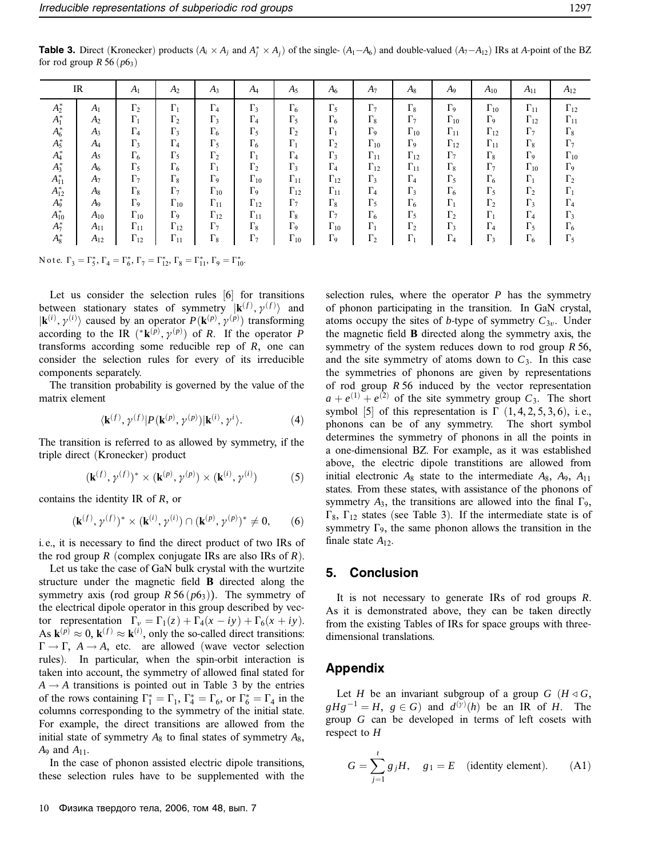**Table 3.** Direct (Kronecker) products  $(A_i \times A_j \text{ and } A_j^* \times A_j)$  of the single-  $(A_1 - A_6)$  and double-valued  $(A_7 - A_{12})$  IRs at *A*-point of the BZ for rod group  $R$  56 ( $p$ 6<sub>3</sub>)

|            | IR             | A <sub>1</sub>        | A <sub>2</sub>        | $A_3$                 | A4            | $A_5$                 | $A_6$                 | $A_7$                 | $A_8$                 | A9                    | $A_{10}$              | $A_{11}$              | $A_{12}$              |
|------------|----------------|-----------------------|-----------------------|-----------------------|---------------|-----------------------|-----------------------|-----------------------|-----------------------|-----------------------|-----------------------|-----------------------|-----------------------|
| $A_2^*$    | $A_1$          | $\Gamma_2$            | $\Gamma_1$            | $\Gamma_4$            | $\Gamma_3$    | $\Gamma_6$            | $\Gamma_5$            | $\Gamma_7$            | $\Gamma_8$            | $\Gamma$ <sub>9</sub> | $\Gamma_{10}$         | $\Gamma_{11}$         | $\Gamma_{12}$         |
| $A_1^*$    | A <sub>2</sub> | $\Gamma_1$            | $\Gamma_2$            | $\Gamma_3$            | $\Gamma_4$    | $\Gamma_5$            | $\Gamma_6$            | $\Gamma_8$            | $\Gamma$              | $\Gamma_{10}$         | $\Gamma$ 9            | $\Gamma_{12}$         | $\Gamma_{11}$         |
| $A_6^*$    | $A_3$          | $\Gamma_4$            | $\Gamma_3$            | $\Gamma_6$            | $\Gamma_5$    | $\Gamma_2$            | $\Gamma_1$            | $\Gamma$ <sub>9</sub> | $\Gamma_{10}$         | $\Gamma_{11}$         | $\Gamma_{12}$         | $\Gamma_7$            | $\Gamma_8$            |
| $A_5^*$    | $A_4$          | $\Gamma_3$            | $\Gamma_4$            | $\Gamma_5$            | $\Gamma_6$    | $\Gamma_1$            | $\Gamma_2$            | $\Gamma_{10}$         | $\Gamma$ <sub>9</sub> | $\Gamma_{12}$         | $\Gamma_{11}$         | $\Gamma_8$            | $\Gamma_7$            |
| $A_4^*$    | $A_5$          | $\Gamma_6$            | $\Gamma_5$            | $\Gamma_2$            | $\Gamma_1$    | $\Gamma_4$            | $\Gamma_3$            | $\Gamma_{11}$         | $\Gamma_{12}$         | $\Gamma_7$            | $\Gamma_8$            | $\Gamma$ <sub>9</sub> | $\Gamma_{10}$         |
| $A_3^*$    | $A_6$          | $\Gamma_5$            | $\Gamma_6$            | $\Gamma_1$            | $\Gamma_2$    | $\Gamma_3$            | $\Gamma_4$            | $\Gamma_{12}$         | $\Gamma_{11}$         | $\Gamma_8$            | $\Gamma_7$            | $\Gamma_{10}$         | $\Gamma$ <sub>9</sub> |
| $A_{11}^*$ | A <sub>7</sub> | $\Gamma$              | $\Gamma_8$            | $\Gamma$ <sub>9</sub> | $\Gamma_{10}$ | $\Gamma_{11}$         | $\Gamma_{12}$         | $\Gamma_3$            | $\Gamma_4$            | $\Gamma_5$            | $\Gamma_6$            | $\Gamma_1$            | $\Gamma_2$            |
| $A_{12}^*$ | $A_8$          | $\Gamma_8$            | $\Gamma_7$            | $\Gamma_{10}$         | $\Gamma$ 9    | $\Gamma_{12}$         | $\Gamma_{11}$         | $\Gamma_4$            | $\Gamma_3$            | $\Gamma_6$            | $\Gamma_5$            | $\Gamma_2$            | $\Gamma_1$            |
| $A_9^*$    | A <sub>9</sub> | $\Gamma$ <sub>9</sub> | $\Gamma_{10}$         | $\Gamma_{11}$         | $\Gamma_{12}$ | $\Gamma_7$            | $\Gamma_8$            | $\Gamma_5$            | $\Gamma_6$            | $\Gamma_1$            | $\Gamma_2$            | $\Gamma_3$            | $\Gamma_4$            |
| $A_{10}^*$ | $A_{10}$       | $\Gamma_{10}$         | $\Gamma$ <sub>9</sub> | $\Gamma_{12}$         | $\Gamma_{11}$ | $\Gamma_8$            | $\Gamma_7$            | $\Gamma_6$            | $\Gamma_5$            | $\Gamma_2$            | $\Gamma_1$            | $\Gamma_4$            | $\Gamma_3$            |
| $A_7^*$    | $A_{11}$       | $\Gamma_{11}$         | $\Gamma_{12}$         | $\Gamma$              | $\Gamma_8$    | $\Gamma$ <sub>9</sub> | $\Gamma_{10}$         | $\Gamma_1$            | $\Gamma_2$            | $\Gamma_3$            | $\Gamma$ <sub>4</sub> | $\Gamma_5$            | $\Gamma_6$            |
| $A_8^*$    | $A_{12}$       | $\Gamma_{12}$         | $\Gamma_{11}$         | $\Gamma_8$            | $\Gamma_7$    | $\Gamma_{10}$         | $\Gamma$ <sub>9</sub> | $\Gamma_2$            | $\Gamma_1$            | $\Gamma_4$            | $\Gamma_3$            | $\Gamma_6$            | $\Gamma_5$            |

N o t e.  $\Gamma_3 = \Gamma_5^*$ ,  $\Gamma_4 = \Gamma_6^*$ ,  $\Gamma_7 = \Gamma_{12}^*$ ,  $\Gamma_8 = \Gamma_{11}^*$ ,  $\Gamma_9 = \Gamma_{10}^*$ .

Let us consider the selection rules [6] for transitions between stationary states of symmetry  $|\mathbf{k}^{(f)}, \gamma^{(f)}\rangle$  and  $|\mathbf{k}^{(i)}, \gamma^{(i)}\rangle$  caused by an operator  $P(\mathbf{k}^{(p)}, \gamma^{(p)})$  transforming according to the IR  $(*\mathbf{k}^{(p)}, \gamma^{(p)})$  of *R*. If the operator *P* transforms according some reducible rep of *R*, one can consider the selection rules for every of its irreducible components separately.

The transition probability is governed by the value of the matrix element

$$
\langle \mathbf{k}^{(f)}, \gamma^{(f)} | P(\mathbf{k}^{(p)}, \gamma^{(p)}) | \mathbf{k}^{(i)}, \gamma^{i} \rangle. \tag{4}
$$

The transition is referred to as allowed by symmetry, if the triple direct (Kronecker) product

$$
(\mathbf{k}^{(f)}, \gamma^{(f)})^* \times (\mathbf{k}^{(p)}, \gamma^{(p)}) \times (\mathbf{k}^{(i)}, \gamma^{(i)}) \tag{5}
$$

contains the identity IR of *R*, or

$$
(\mathbf{k}^{(f)}, \gamma^{(f)})^* \times (\mathbf{k}^{(i)}, \gamma^{(i)}) \cap (\mathbf{k}^{(p)}, \gamma^{(p)})^* \neq 0, \qquad (6)
$$

i. e., it is necessary to find the direct product of two IRs of the rod group *R* (complex conjugate IRs are also IRs of *R*).

Let us take the case of GaN bulk crystal with the wurtzite structure under the magnetic field **B** directed along the symmetry axis (rod group  $R$  56 ( $p$ 6<sub>3</sub>)). The symmetry of the electrical dipole operator in this group described by vector representation  $\Gamma_{\nu} = \Gamma_1(z) + \Gamma_4(x - iy) + \Gamma_6(x + iy)$ . As  $\mathbf{k}^{(p)} \approx 0$ ,  $\mathbf{k}^{(f)} \approx \mathbf{k}^{(i)}$ , only the so-called direct transitions:  $\Gamma \rightarrow \Gamma$ ,  $A \rightarrow A$ , etc. are allowed (wave vector selection rules). In particular, when the spin-orbit interaction is taken into account, the symmetry of allowed final stated for  $A \rightarrow A$  transitions is pointed out in Table 3 by the entries of the rows containing  $\Gamma_1^* = \Gamma_1$ ,  $\Gamma_4^* = \Gamma_6$ , or  $\Gamma_6^* = \Gamma_4$  in the columns corresponding to the symmetry of the initial state. For example, the direct transitions are allowed from the initial state of symmetry  $A_8$  to final states of symmetry  $A_8$ , *A*<sup>9</sup> and *A*11.

In the case of phonon assisted electric dipole transitions, these selection rules have to be supplemented with the selection rules, where the operator  $P$  has the symmetry of phonon participating in the transition. In GaN crystal, atoms occupy the sites of *b*-type of symmetry  $C_{3v}$ . Under the magnetic field **B** directed along the symmetry axis, the symmetry of the system reduces down to rod group *R* 56, and the site symmetry of atoms down to  $C_3$ . In this case the symmetries of phonons are given by representations of rod group *R* 56 induced by the vector representation  $a + e^{(1)} + e^{(2)}$  of the site symmetry group  $C_3$ . The short symbol [5] of this representation is  $\Gamma$  (1, 4, 2, 5, 3, 6), i.e., phonons can be of any symmetry. The short symbol determines the symmetry of phonons in all the points in a one-dimensional BZ. For example, as it was established above, the electric dipole transtitions are allowed from initial electronic  $A_8$  state to the intermediate  $A_8$ ,  $A_9$ ,  $A_{11}$ states. From these states, with assistance of the phonons of symmetry  $A_3$ , the transitions are allowed into the final  $\Gamma_9$ ,  $\Gamma_8$ ,  $\Gamma_{12}$  states (see Table 3). If the intermediate state is of symmetry  $\Gamma_9$ , the same phonon allows the transition in the finale state *A*12.

### **5. Conclusion**

It is not necessary to generate IRs of rod groups *R*. As it is demonstrated above, they can be taken directly from the existing Tables of IRs for space groups with threedimensional translations.

#### **Appendix**

Let *H* be an invariant subgroup of a group *G* ( $H \triangleleft G$ ,  $gHg^{-1} = H$ ,  $g \in G$ ) and  $d^{(y)}(h)$  be an IR of *H*. The group *G* can be developed in terms of left cosets with respect to *H*

$$
G = \sum_{j=1}^{t} g_j H, \quad g_1 = E \quad \text{(identity element)}.
$$
 (A1)